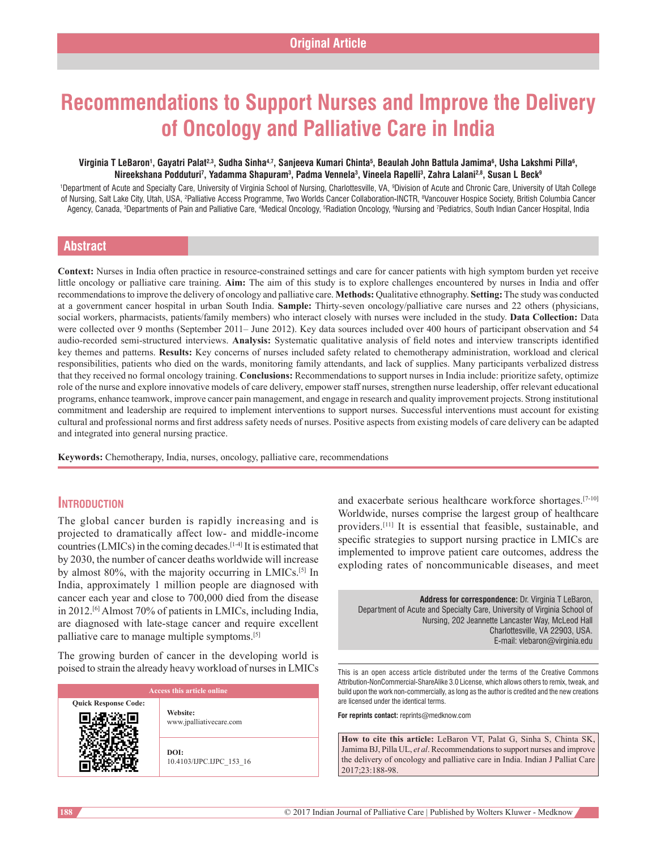# **Recommendations to Support Nurses and Improve the Delivery of Oncology and Palliative Care in India**

#### Virginia T LeBaron', Gayatri Palat<sup>2,3</sup>, Sudha Sinha<sup>4,7</sup>, Sanjeeva Kumari Chinta<sup>5</sup>, Beaulah John Battula Jamima<sup>6</sup>, Usha Lakshmi Pilla<sup>6</sup>, **Nireekshana Podduturi7 , Yadamma Shapuram3 , Padma Vennela3 , Vineela Rapelli3 , Zahra Lalani2,8, Susan L Beck9**

<sup>1</sup>Department of Acute and Specialty Care, University of Virginia School of Nursing, Charlottesville, VA, <sup>9</sup>Division of Acute and Chronic Care, University of Utah College of Nursing, Salt Lake City, Utah, USA, <sup>2</sup>Palliative Access Programme, Two Worlds Cancer Collaboration-INCTR, ®Vancouver Hospice Society, British Columbia Cancer Agency, Canada, <sup>s</sup>Departments of Pain and Palliative Care, 4Medical Oncology, 5Radiation Oncology, 6Nursing and <sup>7</sup>Pediatrics, South Indian Cancer Hospital, India

# **Abstract**

**Context:** Nurses in India often practice in resource-constrained settings and care for cancer patients with high symptom burden yet receive little oncology or palliative care training. **Aim:** The aim of this study is to explore challenges encountered by nurses in India and offer recommendations to improve the delivery of oncology and palliative care. **Methods:** Qualitative ethnography. **Setting:** The study was conducted at a government cancer hospital in urban South India. **Sample:** Thirty‑seven oncology/palliative care nurses and 22 others (physicians, social workers, pharmacists, patients/family members) who interact closely with nurses were included in the study. **Data Collection:** Data were collected over 9 months (September 2011– June 2012). Key data sources included over 400 hours of participant observation and 54 audio‑recorded semi‑structured interviews. **Analysis:** Systematic qualitative analysis of field notes and interview transcripts identified key themes and patterns. **Results:** Key concerns of nurses included safety related to chemotherapy administration, workload and clerical responsibilities, patients who died on the wards, monitoring family attendants, and lack of supplies. Many participants verbalized distress that they received no formal oncology training. **Conclusions:** Recommendations to support nurses in India include: prioritize safety, optimize role of the nurse and explore innovative models of care delivery, empower staff nurses, strengthen nurse leadership, offer relevant educational programs, enhance teamwork, improve cancer pain management, and engage in research and quality improvement projects. Strong institutional commitment and leadership are required to implement interventions to support nurses. Successful interventions must account for existing cultural and professional norms and first address safety needs of nurses. Positive aspects from existing models of care delivery can be adapted and integrated into general nursing practice.

**Keywords:** Chemotherapy, India, nurses, oncology, palliative care, recommendations

# **INTRODUCTION**

The global cancer burden is rapidly increasing and is projected to dramatically affect low‑ and middle‑income countries (LMICs) in the coming decades.<sup>[1-4]</sup> It is estimated that by 2030, the number of cancer deaths worldwide will increase by almost 80%, with the majority occurring in LMICs.[5] In India, approximately 1 million people are diagnosed with cancer each year and close to 700,000 died from the disease in 2012.[6] Almost 70% of patients in LMICs, including India, are diagnosed with late‑stage cancer and require excellent palliative care to manage multiple symptoms.[5]

The growing burden of cancer in the developing world is poised to strain the already heavy workload of nurses in LMICs



and exacerbate serious healthcare workforce shortages.<sup>[7-10]</sup> Worldwide, nurses comprise the largest group of healthcare providers.[11] It is essential that feasible, sustainable, and specific strategies to support nursing practice in LMICs are implemented to improve patient care outcomes, address the exploding rates of noncommunicable diseases, and meet

**Address for correspondence:** Dr. Virginia T LeBaron, Department of Acute and Specialty Care, University of Virginia School of Nursing, 202 Jeannette Lancaster Way, McLeod Hall Charlottesville, VA 22903, USA. E-mail: vlebaron@virginia.edu

This is an open access article distributed under the terms of the Creative Commons Attribution-NonCommercial-ShareAlike 3.0 License, which allows others to remix, tweak, and build upon the work non-commercially, as long as the author is credited and the new creations are licensed under the identical terms.

**For reprints contact:** reprints@medknow.com

**How to cite this article:** LeBaron VT, Palat G, Sinha S, Chinta SK, Jamima BJ, Pilla UL, *et al*. Recommendations to support nurses and improve the delivery of oncology and palliative care in India. Indian J Palliat Care 2017;23:188-98.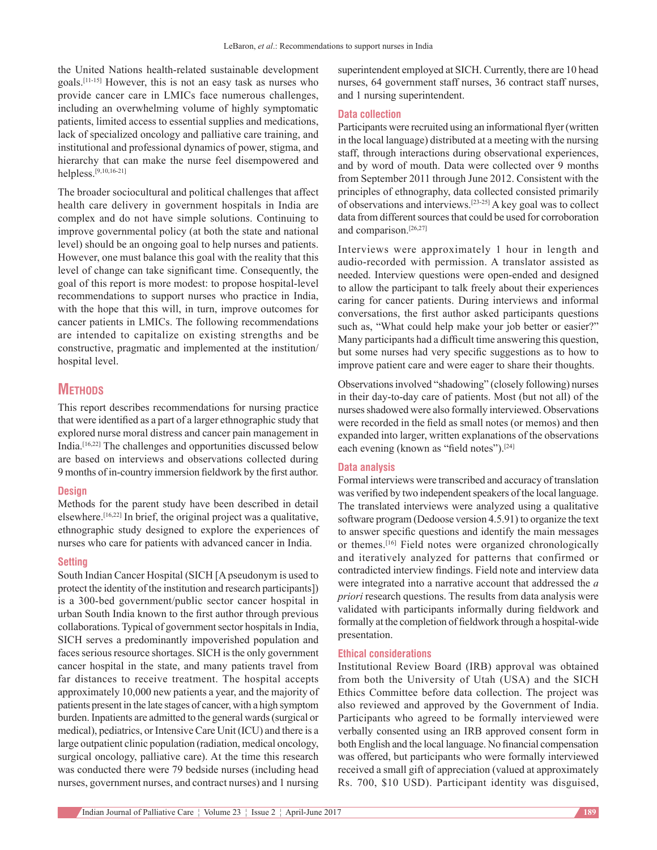the United Nations health-related sustainable development goals.[11‑15] However, this is not an easy task as nurses who provide cancer care in LMICs face numerous challenges, including an overwhelming volume of highly symptomatic patients, limited access to essential supplies and medications, lack of specialized oncology and palliative care training, and institutional and professional dynamics of power, stigma, and hierarchy that can make the nurse feel disempowered and helpless.[9,10,16‑21]

The broader sociocultural and political challenges that affect health care delivery in government hospitals in India are complex and do not have simple solutions. Continuing to improve governmental policy (at both the state and national level) should be an ongoing goal to help nurses and patients. However, one must balance this goal with the reality that this level of change can take significant time. Consequently, the goal of this report is more modest: to propose hospital-level recommendations to support nurses who practice in India, with the hope that this will, in turn, improve outcomes for cancer patients in LMICs. The following recommendations are intended to capitalize on existing strengths and be constructive, pragmatic and implemented at the institution/ hospital level.

# **Methods**

This report describes recommendations for nursing practice that were identified as a part of a larger ethnographic study that explored nurse moral distress and cancer pain management in India.[16,22] The challenges and opportunities discussed below are based on interviews and observations collected during 9 months of in‑country immersion fieldwork by the first author.

#### **Design**

Methods for the parent study have been described in detail elsewhere.<sup>[16,22]</sup> In brief, the original project was a qualitative, ethnographic study designed to explore the experiences of nurses who care for patients with advanced cancer in India.

#### **Setting**

South Indian Cancer Hospital (SICH [A pseudonym is used to protect the identity of the institution and research participants]) is a 300‑bed government/public sector cancer hospital in urban South India known to the first author through previous collaborations. Typical of government sector hospitals in India, SICH serves a predominantly impoverished population and faces serious resource shortages. SICH is the only government cancer hospital in the state, and many patients travel from far distances to receive treatment. The hospital accepts approximately 10,000 new patients a year, and the majority of patients present in the late stages of cancer, with a high symptom burden. Inpatients are admitted to the general wards(surgical or medical), pediatrics, or Intensive Care Unit (ICU) and there is a large outpatient clinic population (radiation, medical oncology, surgical oncology, palliative care). At the time this research was conducted there were 79 bedside nurses (including head nurses, government nurses, and contract nurses) and 1 nursing

superintendent employed at SICH. Currently, there are 10 head nurses, 64 government staff nurses, 36 contract staff nurses, and 1 nursing superintendent.

#### **Data collection**

Participants were recruited using an informational flyer(written in the local language) distributed at a meeting with the nursing staff, through interactions during observational experiences, and by word of mouth. Data were collected over 9 months from September 2011 through June 2012. Consistent with the principles of ethnography, data collected consisted primarily of observations and interviews.[23‑25] A key goal was to collect data from different sources that could be used for corroboration and comparison.[26,27]

Interviews were approximately 1 hour in length and audio‑recorded with permission. A translator assisted as needed. Interview questions were open-ended and designed to allow the participant to talk freely about their experiences caring for cancer patients. During interviews and informal conversations, the first author asked participants questions such as, "What could help make your job better or easier?" Many participants had a difficult time answering this question, but some nurses had very specific suggestions as to how to improve patient care and were eager to share their thoughts.

Observations involved "shadowing" (closely following) nurses in their day-to-day care of patients. Most (but not all) of the nurses shadowed were also formally interviewed. Observations were recorded in the field as small notes (or memos) and then expanded into larger, written explanations of the observations each evening (known as "field notes").<sup>[24]</sup>

#### **Data analysis**

Formal interviews were transcribed and accuracy of translation was verified by two independent speakers of the local language. The translated interviews were analyzed using a qualitative software program (Dedoose version 4.5.91) to organize the text to answer specific questions and identify the main messages or themes.[16] Field notes were organized chronologically and iteratively analyzed for patterns that confirmed or contradicted interview findings. Field note and interview data were integrated into a narrative account that addressed the *a priori* research questions. The results from data analysis were validated with participants informally during fieldwork and formally at the completion of fieldwork through a hospital-wide presentation.

#### **Ethical considerations**

Institutional Review Board (IRB) approval was obtained from both the University of Utah (USA) and the SICH Ethics Committee before data collection. The project was also reviewed and approved by the Government of India. Participants who agreed to be formally interviewed were verbally consented using an IRB approved consent form in both English and the local language. No financial compensation was offered, but participants who were formally interviewed received a small gift of appreciation (valued at approximately Rs. 700, \$10 USD). Participant identity was disguised,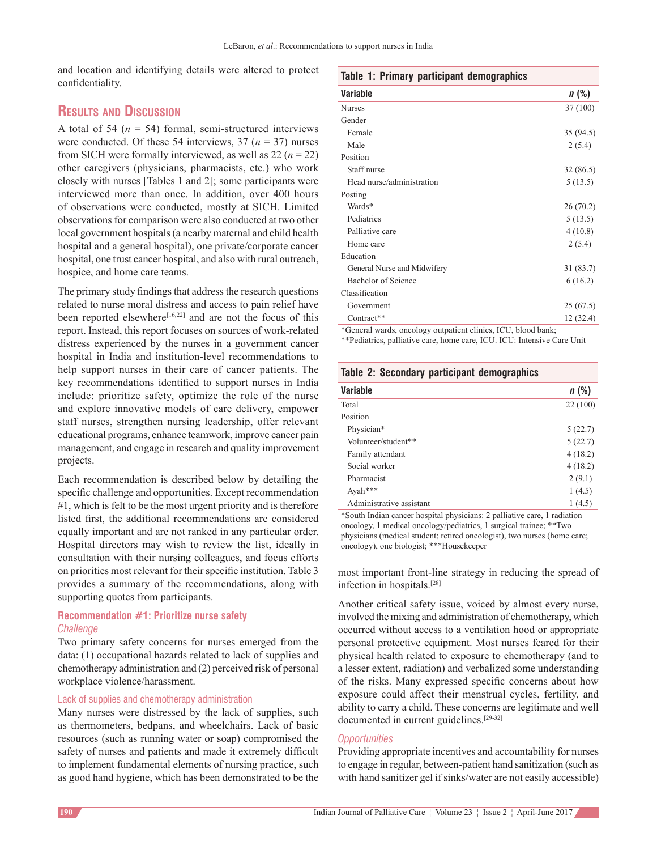and location and identifying details were altered to protect confidentiality.

# **Results and Discussion**

A total of 54  $(n = 54)$  formal, semi-structured interviews were conducted. Of these 54 interviews, 37 (*n* = 37) nurses from SICH were formally interviewed, as well as  $22 (n = 22)$ other caregivers (physicians, pharmacists, etc.) who work closely with nurses [Tables 1 and 2]; some participants were interviewed more than once. In addition, over 400 hours of observations were conducted, mostly at SICH. Limited observations for comparison were also conducted at two other local government hospitals(a nearby maternal and child health hospital and a general hospital), one private/corporate cancer hospital, one trust cancer hospital, and also with rural outreach, hospice, and home care teams.

The primary study findings that address the research questions related to nurse moral distress and access to pain relief have been reported elsewhere<sup>[16,22]</sup> and are not the focus of this report. Instead, this report focuses on sources of work‑related distress experienced by the nurses in a government cancer hospital in India and institution-level recommendations to help support nurses in their care of cancer patients. The key recommendations identified to support nurses in India include: prioritize safety, optimize the role of the nurse and explore innovative models of care delivery, empower staff nurses, strengthen nursing leadership, offer relevant educational programs, enhance teamwork, improve cancer pain management, and engage in research and quality improvement projects.

Each recommendation is described below by detailing the specific challenge and opportunities. Except recommendation #1, which is felt to be the most urgent priority and is therefore listed first, the additional recommendations are considered equally important and are not ranked in any particular order. Hospital directors may wish to review the list, ideally in consultation with their nursing colleagues, and focus efforts on priorities most relevant for their specific institution. Table 3 provides a summary of the recommendations, along with supporting quotes from participants.

# **Recommendation #1: Prioritize nurse safety** *Challenge*

Two primary safety concerns for nurses emerged from the data: (1) occupational hazards related to lack of supplies and chemotherapy administration and (2) perceived risk of personal workplace violence/harassment.

#### Lack of supplies and chemotherapy administration

Many nurses were distressed by the lack of supplies, such as thermometers, bedpans, and wheelchairs. Lack of basic resources (such as running water or soap) compromised the safety of nurses and patients and made it extremely difficult to implement fundamental elements of nursing practice, such as good hand hygiene, which has been demonstrated to be the

#### **Table 1: Primary participant demographics**

| <b>Variable</b>             | n(%)      |
|-----------------------------|-----------|
| <b>Nurses</b>               | 37 (100)  |
| Gender                      |           |
| Female                      | 35(94.5)  |
| Male                        | 2(5.4)    |
| Position                    |           |
| Staff nurse                 | 32(86.5)  |
| Head nurse/administration   | 5(13.5)   |
| Posting                     |           |
| Wards*                      | 26(70.2)  |
| Pediatrics                  | 5(13.5)   |
| Palliative care             | 4(10.8)   |
| Home care                   | 2(5.4)    |
| Education                   |           |
| General Nurse and Midwifery | 31 (83.7) |
| Bachelor of Science         | 6(16.2)   |
| Classification              |           |
| Government                  | 25(67.5)  |
| Contract**                  | 12(32.4)  |
|                             |           |

\*General wards, oncology outpatient clinics, ICU, blood bank;

\*\*Pediatrics, palliative care, home care, ICU. ICU: Intensive Care Unit

| Table 2: Secondary participant demographics |         |  |  |  |  |
|---------------------------------------------|---------|--|--|--|--|
| <b>Variable</b>                             | n(%)    |  |  |  |  |
| Total                                       | 22(100) |  |  |  |  |
| Position                                    |         |  |  |  |  |
| Physician*                                  | 5(22.7) |  |  |  |  |
| Volunteer/student**                         | 5(22.7) |  |  |  |  |
| Family attendant                            | 4(18.2) |  |  |  |  |
| Social worker                               | 4(18.2) |  |  |  |  |
| Pharmacist                                  | 2(9.1)  |  |  |  |  |
| Ayah***                                     | 1(4.5)  |  |  |  |  |
| Administrative assistant                    | 1(4.5)  |  |  |  |  |

\*South Indian cancer hospital physicians: 2 palliative care, 1 radiation oncology, 1 medical oncology/pediatrics, 1 surgical trainee; \*\*Two physicians (medical student; retired oncologist), two nurses (home care; oncology), one biologist; \*\*\*Housekeeper

most important front-line strategy in reducing the spread of infection in hospitals.[28]

Another critical safety issue, voiced by almost every nurse, involved the mixing and administration of chemotherapy, which occurred without access to a ventilation hood or appropriate personal protective equipment. Most nurses feared for their physical health related to exposure to chemotherapy (and to a lesser extent, radiation) and verbalized some understanding of the risks. Many expressed specific concerns about how exposure could affect their menstrual cycles, fertility, and ability to carry a child. These concerns are legitimate and well documented in current guidelines.[29‑32]

#### *Opportunities*

Providing appropriate incentives and accountability for nurses to engage in regular, between‑patient hand sanitization (such as with hand sanitizer gel if sinks/water are not easily accessible)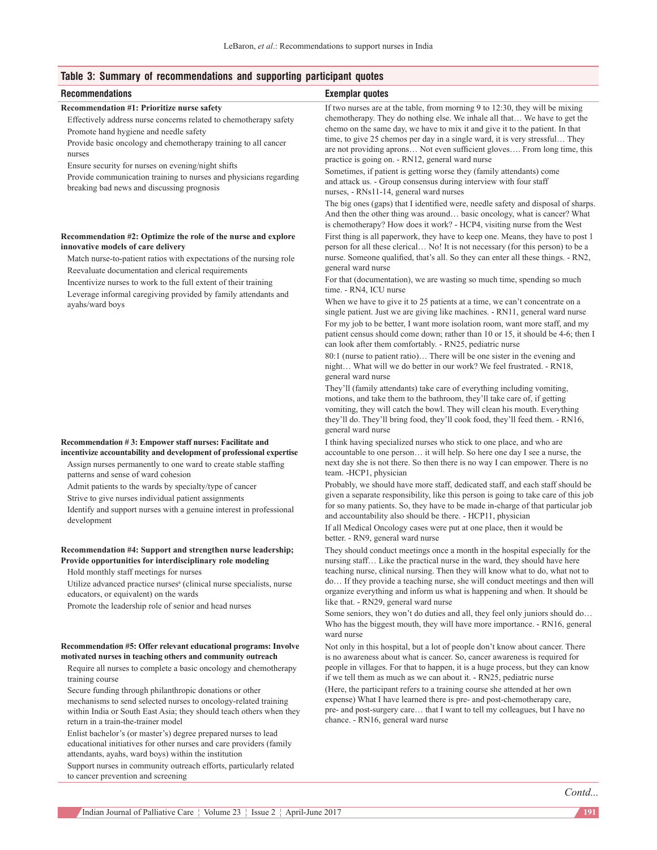|  | Table 3: Summary of recommendations and supporting participant quotes |  |  |  |
|--|-----------------------------------------------------------------------|--|--|--|
|  |                                                                       |  |  |  |

#### **Recommendations Exemplar quotes**

**Recommendation #1: Prioritize nurse safety**

Effectively address nurse concerns related to chemotherapy safety Promote hand hygiene and needle safety Provide basic oncology and chemotherapy training to all cancer

nurses

Ensure security for nurses on evening/night shifts

Provide communication training to nurses and physicians regarding breaking bad news and discussing prognosis

#### **Recommendation #2: Optimize the role of the nurse and explore innovative models of care delivery**

Match nurse-to-patient ratios with expectations of the nursing role Reevaluate documentation and clerical requirements

Incentivize nurses to work to the full extent of their training

Leverage informal caregiving provided by family attendants and ayahs/ward boys

#### **Recommendation # 3: Empower staff nurses: Facilitate and incentivize accountability and development of professional expertise**

Assign nurses permanently to one ward to create stable staffing patterns and sense of ward cohesion

Admit patients to the wards by specialty/type of cancer

Strive to give nurses individual patient assignments

Identify and support nurses with a genuine interest in professional development

#### **Recommendation #4: Support and strengthen nurse leadership; Provide opportunities for interdisciplinary role modeling**

Hold monthly staff meetings for nurses

Utilize advanced practice nurses<sup>a</sup> (clinical nurse specialists, nurse educators, or equivalent) on the wards

Promote the leadership role of senior and head nurses

#### **Recommendation #5: Offer relevant educational programs: Involve motivated nurses in teaching others and community outreach**

Require all nurses to complete a basic oncology and chemotherapy training course

Secure funding through philanthropic donations or other

mechanisms to send selected nurses to oncology-related training within India or South East Asia; they should teach others when they return in a train-the-trainer model

Enlist bachelor's (or master's) degree prepared nurses to lead educational initiatives for other nurses and care providers (family attendants, ayahs, ward boys) within the institution

Support nurses in community outreach efforts, particularly related to cancer prevention and screening

If two nurses are at the table, from morning 9 to 12:30, they will be mixing chemotherapy. They do nothing else. We inhale all that… We have to get the chemo on the same day, we have to mix it and give it to the patient. In that time, to give 25 chemos per day in a single ward, it is very stressful… They are not providing aprons… Not even sufficient gloves…. From long time, this practice is going on. ‑ RN12, general ward nurse

Sometimes, if patient is getting worse they (family attendants) come and attack us. ‑ Group consensus during interview with four staff nurses, ‑ RNs11‑14, general ward nurses

The big ones (gaps) that I identified were, needle safety and disposal of sharps. And then the other thing was around… basic oncology, what is cancer? What is chemotherapy? How does it work? ‑ HCP4, visiting nurse from the West

First thing is all paperwork, they have to keep one. Means, they have to post 1 person for all these clerical… No! It is not necessary (for this person) to be a nurse. Someone qualified, that's all. So they can enter all these things. ‑ RN2, general ward nurse

For that (documentation), we are wasting so much time, spending so much time. ‑ RN4, ICU nurse

When we have to give it to 25 patients at a time, we can't concentrate on a single patient. Just we are giving like machines. ‑ RN11, general ward nurse For my job to be better, I want more isolation room, want more staff, and my patient census should come down; rather than 10 or 15, it should be 4-6; then I can look after them comfortably. ‑ RN25, pediatric nurse

80:1 (nurse to patient ratio)… There will be one sister in the evening and night… What will we do better in our work? We feel frustrated. ‑ RN18, general ward nurse

They'll (family attendants) take care of everything including vomiting, motions, and take them to the bathroom, they'll take care of, if getting vomiting, they will catch the bowl. They will clean his mouth. Everything they'll do. They'll bring food, they'll cook food, they'll feed them. ‑ RN16, general ward nurse

I think having specialized nurses who stick to one place, and who are accountable to one person… it will help. So here one day I see a nurse, the next day she is not there. So then there is no way I can empower. There is no team. ‑HCP1, physician

Probably, we should have more staff, dedicated staff, and each staff should be given a separate responsibility, like this person is going to take care of this job for so many patients. So, they have to be made in-charge of that particular job and accountability also should be there. ‑ HCP11, physician

If all Medical Oncology cases were put at one place, then it would be better. ‑ RN9, general ward nurse

They should conduct meetings once a month in the hospital especially for the nursing staff… Like the practical nurse in the ward, they should have here teaching nurse, clinical nursing. Then they will know what to do, what not to do… If they provide a teaching nurse, she will conduct meetings and then will organize everything and inform us what is happening and when. It should be like that. ‑ RN29, general ward nurse

Some seniors, they won't do duties and all, they feel only juniors should do… Who has the biggest mouth, they will have more importance. - RN16, general ward nurse

Not only in this hospital, but a lot of people don't know about cancer. There is no awareness about what is cancer. So, cancer awareness is required for people in villages. For that to happen, it is a huge process, but they can know if we tell them as much as we can about it. ‑ RN25, pediatric nurse

(Here, the participant refers to a training course she attended at her own expense) What I have learned there is pre- and post-chemotherapy care, pre- and post-surgery care... that I want to tell my colleagues, but I have no chance. ‑ RN16, general ward nurse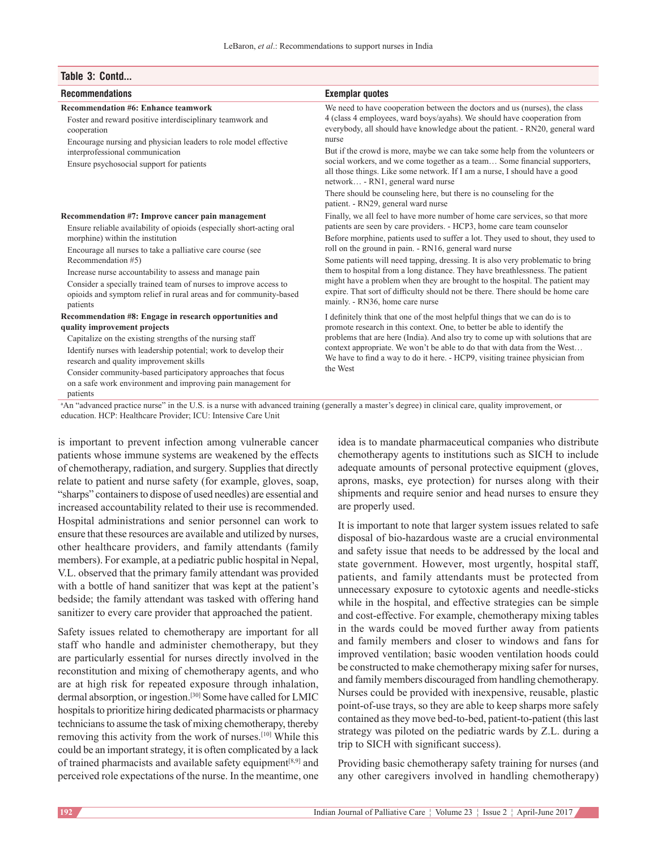# **Table 3: Contd...**

| <b>Recommendations</b>                                                                                                                                                                                                                                                                                                                                                                                                                                             | <b>Exemplar quotes</b>                                                                                                                                                                                                                                                                                                                                                                                                                                                                                                                                                                                                                                                     |  |  |  |
|--------------------------------------------------------------------------------------------------------------------------------------------------------------------------------------------------------------------------------------------------------------------------------------------------------------------------------------------------------------------------------------------------------------------------------------------------------------------|----------------------------------------------------------------------------------------------------------------------------------------------------------------------------------------------------------------------------------------------------------------------------------------------------------------------------------------------------------------------------------------------------------------------------------------------------------------------------------------------------------------------------------------------------------------------------------------------------------------------------------------------------------------------------|--|--|--|
| <b>Recommendation #6: Enhance teamwork</b><br>Foster and reward positive interdisciplinary teamwork and<br>cooperation<br>Encourage nursing and physician leaders to role model effective<br>interprofessional communication<br>Ensure psychosocial support for patients                                                                                                                                                                                           | We need to have cooperation between the doctors and us (nurses), the class<br>4 (class 4 employees, ward boys/ayahs). We should have cooperation from<br>everybody, all should have knowledge about the patient. - RN20, general ward<br>nurse<br>But if the crowd is more, maybe we can take some help from the volunteers or<br>social workers, and we come together as a team Some financial supporters,<br>all those things. Like some network. If I am a nurse, I should have a good<br>network - RN1, general ward nurse<br>There should be counseling here, but there is no counseling for the<br>patient. - RN29, general ward nurse                               |  |  |  |
| Recommendation #7: Improve cancer pain management<br>Ensure reliable availability of opioids (especially short-acting oral<br>morphine) within the institution<br>Encourage all nurses to take a palliative care course (see<br>Recommendation #5)<br>Increase nurse accountability to assess and manage pain<br>Consider a specially trained team of nurses to improve access to<br>opioids and symptom relief in rural areas and for community-based<br>patients | Finally, we all feel to have more number of home care services, so that more<br>patients are seen by care providers. - HCP3, home care team counselor<br>Before morphine, patients used to suffer a lot. They used to shout, they used to<br>roll on the ground in pain. - RN16, general ward nurse<br>Some patients will need tapping, dressing. It is also very problematic to bring<br>them to hospital from a long distance. They have breathlessness. The patient<br>might have a problem when they are brought to the hospital. The patient may<br>expire. That sort of difficulty should not be there. There should be home care<br>mainly. - RN36, home care nurse |  |  |  |
| Recommendation #8: Engage in research opportunities and<br>quality improvement projects<br>Capitalize on the existing strengths of the nursing staff<br>Identify nurses with leadership potential; work to develop their<br>research and quality improvement skills<br>Consider community-based participatory approaches that focus<br>on a safe work environment and improving pain management for                                                                | I definitely think that one of the most helpful things that we can do is to<br>promote research in this context. One, to better be able to identify the<br>problems that are here (India). And also try to come up with solutions that are<br>context appropriate. We won't be able to do that with data from the West<br>We have to find a way to do it here. - HCP9, visiting trainee physician from<br>the West                                                                                                                                                                                                                                                         |  |  |  |

patients

a An "advanced practice nurse" in the U.S. is a nurse with advanced training (generally a master's degree) in clinical care, quality improvement, or education. HCP: Healthcare Provider; ICU: Intensive Care Unit

is important to prevent infection among vulnerable cancer patients whose immune systems are weakened by the effects of chemotherapy, radiation, and surgery. Supplies that directly relate to patient and nurse safety (for example, gloves, soap, "sharps" containers to dispose of used needles) are essential and increased accountability related to their use is recommended. Hospital administrations and senior personnel can work to ensure that these resources are available and utilized by nurses, other healthcare providers, and family attendants (family members). For example, at a pediatric public hospital in Nepal, V.L. observed that the primary family attendant was provided with a bottle of hand sanitizer that was kept at the patient's bedside; the family attendant was tasked with offering hand sanitizer to every care provider that approached the patient.

Safety issues related to chemotherapy are important for all staff who handle and administer chemotherapy, but they are particularly essential for nurses directly involved in the reconstitution and mixing of chemotherapy agents, and who are at high risk for repeated exposure through inhalation, dermal absorption, or ingestion.[30] Some have called for LMIC hospitals to prioritize hiring dedicated pharmacists or pharmacy technicians to assume the task of mixing chemotherapy, thereby removing this activity from the work of nurses.[10] While this could be an important strategy, it is often complicated by a lack of trained pharmacists and available safety equipment[8,9] and perceived role expectations of the nurse. In the meantime, one

idea is to mandate pharmaceutical companies who distribute chemotherapy agents to institutions such as SICH to include adequate amounts of personal protective equipment (gloves, aprons, masks, eye protection) for nurses along with their shipments and require senior and head nurses to ensure they are properly used.

It is important to note that larger system issues related to safe disposal of bio‑hazardous waste are a crucial environmental and safety issue that needs to be addressed by the local and state government. However, most urgently, hospital staff, patients, and family attendants must be protected from unnecessary exposure to cytotoxic agents and needle‑sticks while in the hospital, and effective strategies can be simple and cost-effective. For example, chemotherapy mixing tables in the wards could be moved further away from patients and family members and closer to windows and fans for improved ventilation; basic wooden ventilation hoods could be constructed to make chemotherapy mixing safer for nurses, and family members discouraged from handling chemotherapy. Nurses could be provided with inexpensive, reusable, plastic point‑of‑use trays, so they are able to keep sharps more safely contained as they move bed-to-bed, patient-to-patient (this last strategy was piloted on the pediatric wards by Z.L. during a trip to SICH with significant success).

Providing basic chemotherapy safety training for nurses (and any other caregivers involved in handling chemotherapy)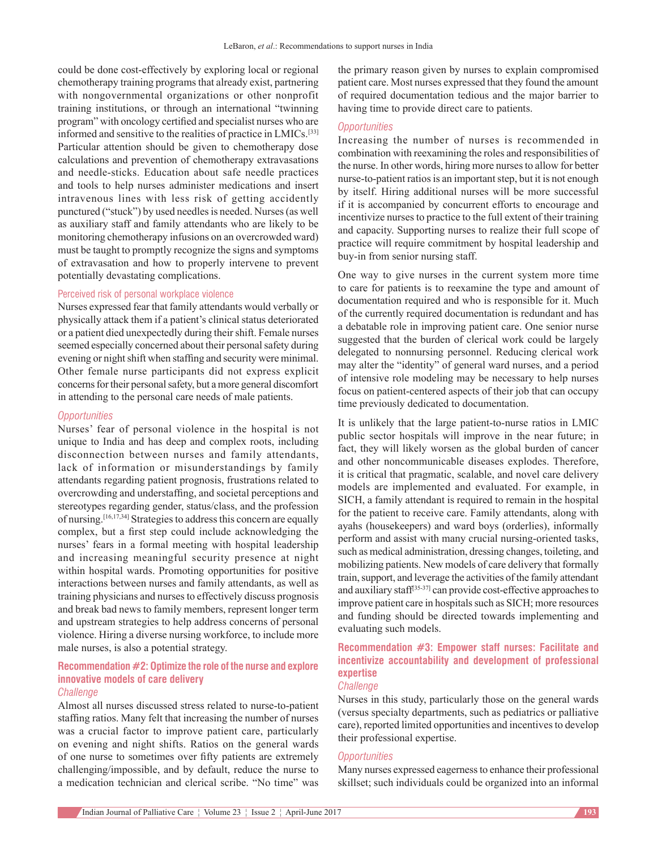could be done cost-effectively by exploring local or regional chemotherapy training programs that already exist, partnering with nongovernmental organizations or other nonprofit training institutions, or through an international "twinning program" with oncology certified and specialist nurses who are informed and sensitive to the realities of practice in LMICs.[33] Particular attention should be given to chemotherapy dose calculations and prevention of chemotherapy extravasations and needle‑sticks. Education about safe needle practices and tools to help nurses administer medications and insert intravenous lines with less risk of getting accidently punctured ("stuck") by used needles is needed. Nurses (as well as auxiliary staff and family attendants who are likely to be monitoring chemotherapy infusions on an overcrowded ward) must be taught to promptly recognize the signs and symptoms of extravasation and how to properly intervene to prevent potentially devastating complications.

#### Perceived risk of personal workplace violence

Nurses expressed fear that family attendants would verbally or physically attack them if a patient's clinical status deteriorated or a patient died unexpectedly during their shift. Female nurses seemed especially concerned about their personal safety during evening or night shift when staffing and security were minimal. Other female nurse participants did not express explicit concerns for their personal safety, but a more general discomfort in attending to the personal care needs of male patients.

#### *Opportunities*

Nurses' fear of personal violence in the hospital is not unique to India and has deep and complex roots, including disconnection between nurses and family attendants, lack of information or misunderstandings by family attendants regarding patient prognosis, frustrations related to overcrowding and understaffing, and societal perceptions and stereotypes regarding gender, status/class, and the profession of nursing.[16,17,34] Strategies to address this concern are equally complex, but a first step could include acknowledging the nurses' fears in a formal meeting with hospital leadership and increasing meaningful security presence at night within hospital wards. Promoting opportunities for positive interactions between nurses and family attendants, as well as training physicians and nurses to effectively discuss prognosis and break bad news to family members, represent longer term and upstream strategies to help address concerns of personal violence. Hiring a diverse nursing workforce, to include more male nurses, is also a potential strategy.

#### **Recommendation #2: Optimize the role of the nurse and explore innovative models of care delivery** *Challenge*

Almost all nurses discussed stress related to nurse-to-patient staffing ratios. Many felt that increasing the number of nurses was a crucial factor to improve patient care, particularly on evening and night shifts. Ratios on the general wards of one nurse to sometimes over fifty patients are extremely challenging/impossible, and by default, reduce the nurse to a medication technician and clerical scribe. "No time" was the primary reason given by nurses to explain compromised patient care. Most nurses expressed that they found the amount of required documentation tedious and the major barrier to having time to provide direct care to patients.

#### *Opportunities*

Increasing the number of nurses is recommended in combination with reexamining the roles and responsibilities of the nurse. In other words, hiring more nurses to allow for better nurse-to-patient ratios is an important step, but it is not enough by itself. Hiring additional nurses will be more successful if it is accompanied by concurrent efforts to encourage and incentivize nurses to practice to the full extent of their training and capacity. Supporting nurses to realize their full scope of practice will require commitment by hospital leadership and buy‑in from senior nursing staff.

One way to give nurses in the current system more time to care for patients is to reexamine the type and amount of documentation required and who is responsible for it. Much of the currently required documentation is redundant and has a debatable role in improving patient care. One senior nurse suggested that the burden of clerical work could be largely delegated to nonnursing personnel. Reducing clerical work may alter the "identity" of general ward nurses, and a period of intensive role modeling may be necessary to help nurses focus on patient‑centered aspects of their job that can occupy time previously dedicated to documentation.

It is unlikely that the large patient-to-nurse ratios in LMIC public sector hospitals will improve in the near future; in fact, they will likely worsen as the global burden of cancer and other noncommunicable diseases explodes. Therefore, it is critical that pragmatic, scalable, and novel care delivery models are implemented and evaluated. For example, in SICH, a family attendant is required to remain in the hospital for the patient to receive care. Family attendants, along with ayahs (housekeepers) and ward boys (orderlies), informally perform and assist with many crucial nursing‑oriented tasks, such as medical administration, dressing changes, toileting, and mobilizing patients. New models of care delivery that formally train, support, and leverage the activities of the family attendant and auxiliary staff<sup>[35-37]</sup> can provide cost-effective approaches to improve patient care in hospitals such as SICH; more resources and funding should be directed towards implementing and evaluating such models.

# **Recommendation #3: Empower staff nurses: Facilitate and incentivize accountability and development of professional expertise**

#### *Challenge*

Nurses in this study, particularly those on the general wards (versus specialty departments, such as pediatrics or palliative care), reported limited opportunities and incentives to develop their professional expertise.

#### *Opportunities*

Many nurses expressed eagerness to enhance their professional skillset; such individuals could be organized into an informal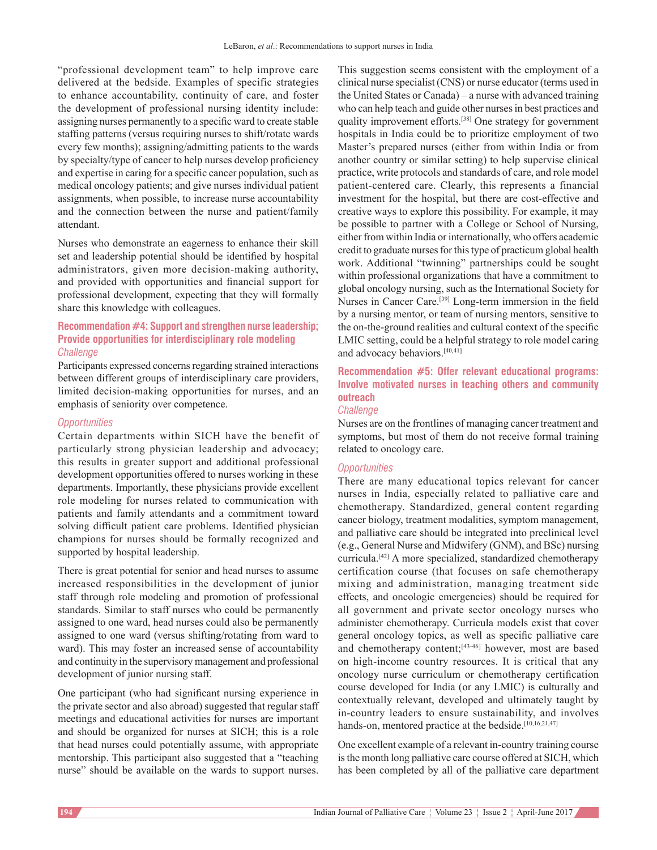"professional development team" to help improve care delivered at the bedside. Examples of specific strategies to enhance accountability, continuity of care, and foster the development of professional nursing identity include: assigning nurses permanently to a specific ward to create stable staffing patterns (versus requiring nurses to shift/rotate wards every few months); assigning/admitting patients to the wards by specialty/type of cancer to help nurses develop proficiency and expertise in caring for a specific cancer population, such as medical oncology patients; and give nurses individual patient assignments, when possible, to increase nurse accountability and the connection between the nurse and patient/family attendant.

Nurses who demonstrate an eagerness to enhance their skill set and leadership potential should be identified by hospital administrators, given more decision‑making authority, and provided with opportunities and financial support for professional development, expecting that they will formally share this knowledge with colleagues.

### **Recommendation #4: Support and strengthen nurse leadership; Provide opportunities for interdisciplinary role modeling** *Challenge*

Participants expressed concerns regarding strained interactions between different groups of interdisciplinary care providers, limited decision-making opportunities for nurses, and an emphasis of seniority over competence.

#### *Opportunities*

Certain departments within SICH have the benefit of particularly strong physician leadership and advocacy; this results in greater support and additional professional development opportunities offered to nurses working in these departments. Importantly, these physicians provide excellent role modeling for nurses related to communication with patients and family attendants and a commitment toward solving difficult patient care problems. Identified physician champions for nurses should be formally recognized and supported by hospital leadership.

There is great potential for senior and head nurses to assume increased responsibilities in the development of junior staff through role modeling and promotion of professional standards. Similar to staff nurses who could be permanently assigned to one ward, head nurses could also be permanently assigned to one ward (versus shifting/rotating from ward to ward). This may foster an increased sense of accountability and continuity in the supervisory management and professional development of junior nursing staff.

One participant (who had significant nursing experience in the private sector and also abroad) suggested that regular staff meetings and educational activities for nurses are important and should be organized for nurses at SICH; this is a role that head nurses could potentially assume, with appropriate mentorship. This participant also suggested that a "teaching nurse" should be available on the wards to support nurses.

This suggestion seems consistent with the employment of a clinical nurse specialist (CNS) or nurse educator (terms used in the United States or Canada) – a nurse with advanced training who can help teach and guide other nurses in best practices and quality improvement efforts.[38] One strategy for government hospitals in India could be to prioritize employment of two Master's prepared nurses (either from within India or from another country or similar setting) to help supervise clinical practice, write protocols and standards of care, and role model patient-centered care. Clearly, this represents a financial investment for the hospital, but there are cost-effective and creative ways to explore this possibility. For example, it may be possible to partner with a College or School of Nursing, either from within India or internationally, who offers academic credit to graduate nurses for this type of practicum global health work. Additional "twinning" partnerships could be sought within professional organizations that have a commitment to global oncology nursing, such as the International Society for Nurses in Cancer Care.[39] Long‑term immersion in the field by a nursing mentor, or team of nursing mentors, sensitive to the on‑the‑ground realities and cultural context of the specific LMIC setting, could be a helpful strategy to role model caring and advocacy behaviors.[40,41]

# **Recommendation #5: Offer relevant educational programs: Involve motivated nurses in teaching others and community outreach**

# *Challenge*

Nurses are on the frontlines of managing cancer treatment and symptoms, but most of them do not receive formal training related to oncology care.

#### *Opportunities*

There are many educational topics relevant for cancer nurses in India, especially related to palliative care and chemotherapy. Standardized, general content regarding cancer biology, treatment modalities, symptom management, and palliative care should be integrated into preclinical level (e.g., General Nurse and Midwifery (GNM), and BSc) nursing curricula.[42] A more specialized, standardized chemotherapy certification course (that focuses on safe chemotherapy mixing and administration, managing treatment side effects, and oncologic emergencies) should be required for all government and private sector oncology nurses who administer chemotherapy. Curricula models exist that cover general oncology topics, as well as specific palliative care and chemotherapy content;<sup>[43-46]</sup> however, most are based on high-income country resources. It is critical that any oncology nurse curriculum or chemotherapy certification course developed for India (or any LMIC) is culturally and contextually relevant, developed and ultimately taught by in‑country leaders to ensure sustainability, and involves hands-on, mentored practice at the bedside.<sup>[10,16,21,47]</sup>

One excellent example of a relevant in‑country training course is the month long palliative care course offered at SICH, which has been completed by all of the palliative care department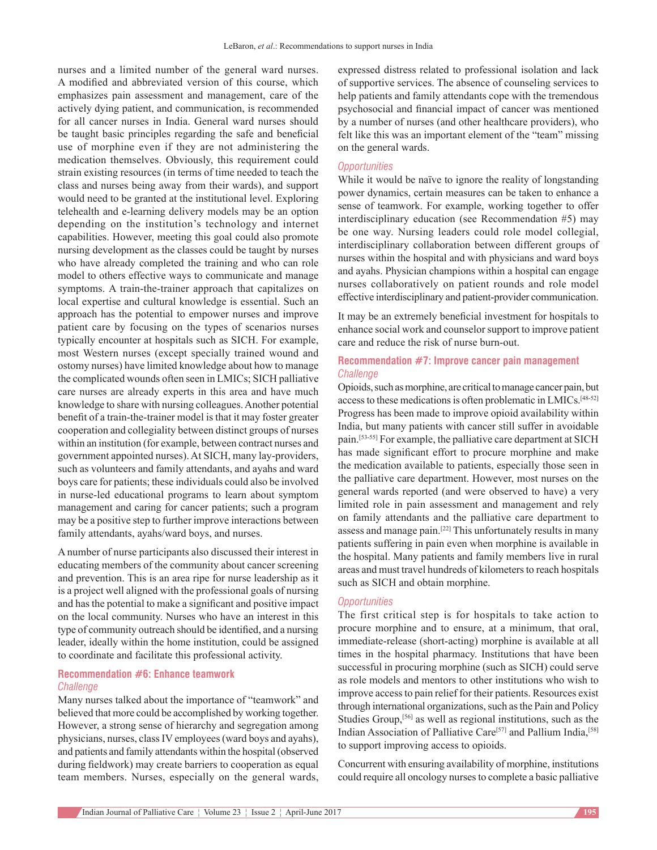nurses and a limited number of the general ward nurses. A modified and abbreviated version of this course, which emphasizes pain assessment and management, care of the actively dying patient, and communication, is recommended for all cancer nurses in India. General ward nurses should be taught basic principles regarding the safe and beneficial use of morphine even if they are not administering the medication themselves. Obviously, this requirement could strain existing resources (in terms of time needed to teach the class and nurses being away from their wards), and support would need to be granted at the institutional level. Exploring telehealth and e‑learning delivery models may be an option depending on the institution's technology and internet capabilities. However, meeting this goal could also promote nursing development as the classes could be taught by nurses who have already completed the training and who can role model to others effective ways to communicate and manage symptoms. A train-the-trainer approach that capitalizes on local expertise and cultural knowledge is essential. Such an approach has the potential to empower nurses and improve patient care by focusing on the types of scenarios nurses typically encounter at hospitals such as SICH. For example, most Western nurses (except specially trained wound and ostomy nurses) have limited knowledge about how to manage the complicated wounds often seen in LMICs; SICH palliative care nurses are already experts in this area and have much knowledge to share with nursing colleagues. Another potential benefit of a train-the-trainer model is that it may foster greater cooperation and collegiality between distinct groups of nurses within an institution (for example, between contract nurses and government appointed nurses). At SICH, many lay‑providers, such as volunteers and family attendants, and ayahs and ward boys care for patients; these individuals could also be involved in nurse-led educational programs to learn about symptom management and caring for cancer patients; such a program may be a positive step to further improve interactions between family attendants, ayahs/ward boys, and nurses.

A number of nurse participants also discussed their interest in educating members of the community about cancer screening and prevention. This is an area ripe for nurse leadership as it is a project well aligned with the professional goals of nursing and has the potential to make a significant and positive impact on the local community. Nurses who have an interest in this type of community outreach should be identified, and a nursing leader, ideally within the home institution, could be assigned to coordinate and facilitate this professional activity.

#### **Recommendation #6: Enhance teamwork** *Challenge*

Many nurses talked about the importance of "teamwork" and believed that more could be accomplished by working together. However, a strong sense of hierarchy and segregation among physicians, nurses, classIV employees(ward boys and ayahs), and patients and family attendants within the hospital (observed during fieldwork) may create barriers to cooperation as equal team members. Nurses, especially on the general wards, expressed distress related to professional isolation and lack of supportive services. The absence of counseling services to help patients and family attendants cope with the tremendous psychosocial and financial impact of cancer was mentioned by a number of nurses (and other healthcare providers), who felt like this was an important element of the "team" missing on the general wards.

#### *Opportunities*

While it would be naïve to ignore the reality of longstanding power dynamics, certain measures can be taken to enhance a sense of teamwork. For example, working together to offer interdisciplinary education (see Recommendation #5) may be one way. Nursing leaders could role model collegial, interdisciplinary collaboration between different groups of nurses within the hospital and with physicians and ward boys and ayahs. Physician champions within a hospital can engage nurses collaboratively on patient rounds and role model effective interdisciplinary and patient‑provider communication.

It may be an extremely beneficial investment for hospitals to enhance social work and counselor support to improve patient care and reduce the risk of nurse burn-out.

# **Recommendation #7: Improve cancer pain management** *Challenge*

Opioids, such as morphine, are critical to manage cancer pain, but access to these medications is often problematic in LMICs.[48‑52] Progress has been made to improve opioid availability within India, but many patients with cancer still suffer in avoidable pain.[53‑55] For example, the palliative care department at SICH has made significant effort to procure morphine and make the medication available to patients, especially those seen in the palliative care department. However, most nurses on the general wards reported (and were observed to have) a very limited role in pain assessment and management and rely on family attendants and the palliative care department to assess and manage pain.[22] This unfortunately results in many patients suffering in pain even when morphine is available in the hospital. Many patients and family members live in rural areas and must travel hundreds of kilometers to reach hospitals such as SICH and obtain morphine.

#### *Opportunities*

The first critical step is for hospitals to take action to procure morphine and to ensure, at a minimum, that oral, immediate-release (short-acting) morphine is available at all times in the hospital pharmacy. Institutions that have been successful in procuring morphine (such as SICH) could serve as role models and mentors to other institutions who wish to improve access to pain relief for their patients. Resources exist through international organizations, such as the Pain and Policy Studies Group,<sup>[56]</sup> as well as regional institutions, such as the Indian Association of Palliative Care<sup>[57]</sup> and Pallium India,<sup>[58]</sup> to support improving access to opioids.

Concurrent with ensuring availability of morphine, institutions could require all oncology nurses to complete a basic palliative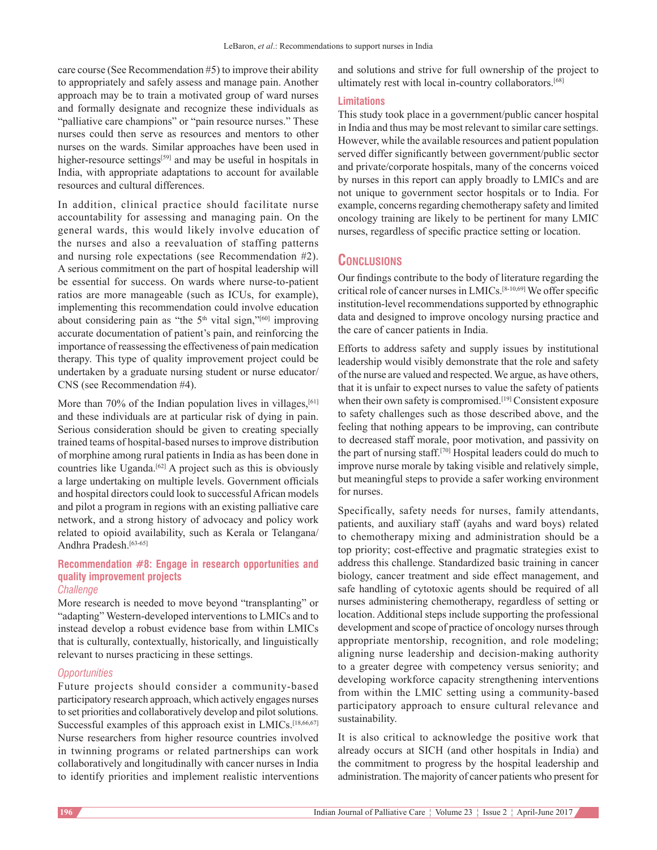care course (See Recommendation #5) to improve their ability to appropriately and safely assess and manage pain. Another approach may be to train a motivated group of ward nurses and formally designate and recognize these individuals as "palliative care champions" or "pain resource nurses." These nurses could then serve as resources and mentors to other nurses on the wards. Similar approaches have been used in higher-resource settings<sup>[59]</sup> and may be useful in hospitals in India, with appropriate adaptations to account for available resources and cultural differences.

In addition, clinical practice should facilitate nurse accountability for assessing and managing pain. On the general wards, this would likely involve education of the nurses and also a reevaluation of staffing patterns and nursing role expectations (see Recommendation #2). A serious commitment on the part of hospital leadership will be essential for success. On wards where nurse-to-patient ratios are more manageable (such as ICUs, for example), implementing this recommendation could involve education about considering pain as "the  $5<sup>th</sup>$  vital sign,"<sup>[60]</sup> improving accurate documentation of patient's pain, and reinforcing the importance of reassessing the effectiveness of pain medication therapy. This type of quality improvement project could be undertaken by a graduate nursing student or nurse educator/ CNS (see Recommendation #4).

More than  $70\%$  of the Indian population lives in villages,  $[61]$ and these individuals are at particular risk of dying in pain. Serious consideration should be given to creating specially trained teams of hospital‑based nurses to improve distribution of morphine among rural patients in India as has been done in countries like Uganda.[62] A project such as this is obviously a large undertaking on multiple levels. Government officials and hospital directors could look to successful African models and pilot a program in regions with an existing palliative care network, and a strong history of advocacy and policy work related to opioid availability, such as Kerala or Telangana/ Andhra Pradesh.<sup>[63-65]</sup>

# **Recommendation #8: Engage in research opportunities and quality improvement projects**

# *Challenge*

More research is needed to move beyond "transplanting" or "adapting" Western‑developed interventions to LMICs and to instead develop a robust evidence base from within LMICs that is culturally, contextually, historically, and linguistically relevant to nurses practicing in these settings.

#### *Opportunities*

Future projects should consider a community-based participatory research approach, which actively engages nurses to set priorities and collaboratively develop and pilot solutions. Successful examples of this approach exist in LMICs.<sup>[18,66,67]</sup> Nurse researchers from higher resource countries involved in twinning programs or related partnerships can work collaboratively and longitudinally with cancer nurses in India to identify priorities and implement realistic interventions and solutions and strive for full ownership of the project to ultimately rest with local in-country collaborators.<sup>[68]</sup>

#### **Limitations**

This study took place in a government/public cancer hospital in India and thus may be most relevant to similar care settings. However, while the available resources and patient population served differ significantly between government/public sector and private/corporate hospitals, many of the concerns voiced by nurses in this report can apply broadly to LMICs and are not unique to government sector hospitals or to India. For example, concerns regarding chemotherapy safety and limited oncology training are likely to be pertinent for many LMIC nurses, regardless of specific practice setting or location.

# **Conclusions**

Our findings contribute to the body of literature regarding the critical role of cancer nurses in LMICs.[8‑10,69] We offer specific institution-level recommendations supported by ethnographic data and designed to improve oncology nursing practice and the care of cancer patients in India.

Efforts to address safety and supply issues by institutional leadership would visibly demonstrate that the role and safety of the nurse are valued and respected. We argue, as have others, that it is unfair to expect nurses to value the safety of patients when their own safety is compromised.<sup>[19]</sup> Consistent exposure to safety challenges such as those described above, and the feeling that nothing appears to be improving, can contribute to decreased staff morale, poor motivation, and passivity on the part of nursing staff.[70] Hospital leaders could do much to improve nurse morale by taking visible and relatively simple, but meaningful steps to provide a safer working environment for nurses.

Specifically, safety needs for nurses, family attendants, patients, and auxiliary staff (ayahs and ward boys) related to chemotherapy mixing and administration should be a top priority; cost-effective and pragmatic strategies exist to address this challenge. Standardized basic training in cancer biology, cancer treatment and side effect management, and safe handling of cytotoxic agents should be required of all nurses administering chemotherapy, regardless of setting or location. Additional steps include supporting the professional development and scope of practice of oncology nurses through appropriate mentorship, recognition, and role modeling; aligning nurse leadership and decision‑making authority to a greater degree with competency versus seniority; and developing workforce capacity strengthening interventions from within the LMIC setting using a community-based participatory approach to ensure cultural relevance and sustainability.

It is also critical to acknowledge the positive work that already occurs at SICH (and other hospitals in India) and the commitment to progress by the hospital leadership and administration. The majority of cancer patients who present for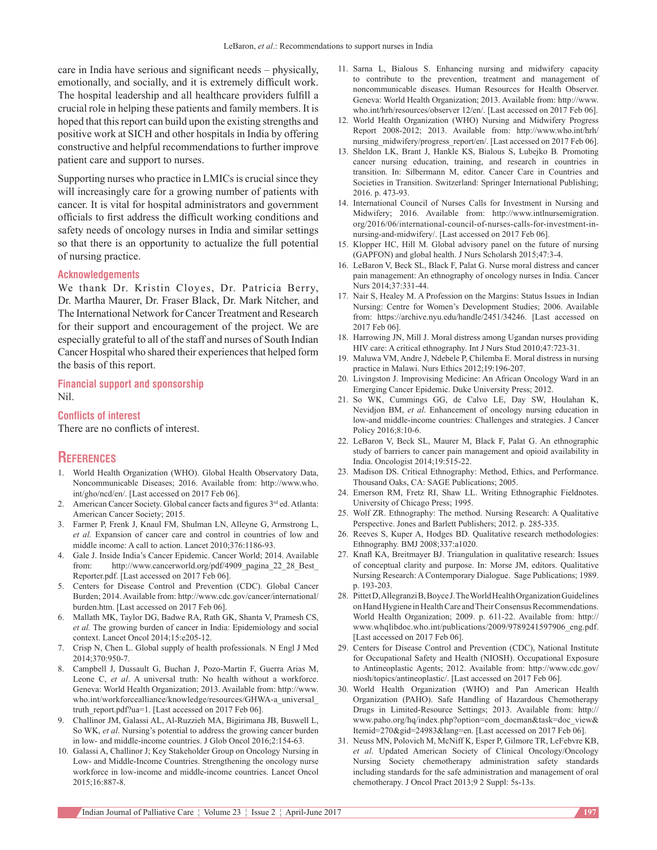care in India have serious and significant needs – physically, emotionally, and socially, and it is extremely difficult work. The hospital leadership and all healthcare providers fulfill a crucial role in helping these patients and family members. It is hoped that this report can build upon the existing strengths and positive work at SICH and other hospitals in India by offering constructive and helpful recommendations to further improve patient care and support to nurses.

Supporting nurses who practice in LMICs is crucial since they will increasingly care for a growing number of patients with cancer. It is vital for hospital administrators and government officials to first address the difficult working conditions and safety needs of oncology nurses in India and similar settings so that there is an opportunity to actualize the full potential of nursing practice.

#### **Acknowledgements**

We thank Dr. Kristin Cloyes, Dr. Patricia Berry, Dr. Martha Maurer, Dr. Fraser Black, Dr. Mark Nitcher, and The International Network for Cancer Treatment and Research for their support and encouragement of the project. We are especially grateful to all of the staff and nurses of South Indian Cancer Hospital who shared their experiences that helped form the basis of this report.

#### **Financial support and sponsorship** Nil.

#### **Conflicts of interest**

There are no conflicts of interest.

#### **References**

- 1. World Health Organization (WHO). Global Health Observatory Data, Noncommunicable Diseases; 2016. Available from: http://www.who. int/gho/ncd/en/. [Last accessed on 2017 Feb 06].
- American Cancer Society. Global cancer facts and figures 3rd ed. Atlanta: American Cancer Society; 2015.
- 3. Farmer P, Frenk J, Knaul FM, Shulman LN, Alleyne G, Armstrong L, *et al.* Expansion of cancer care and control in countries of low and middle income: A call to action. Lancet 2010;376:1186‑93.
- 4. Gale J. Inside India's Cancer Epidemic. Cancer World; 2014. Available from: http://www.cancerworld.org/pdf/4909\_pagina\_22\_28\_Best\_ Reporter.pdf. [Last accessed on 2017 Feb 06].
- 5. Centers for Disease Control and Prevention (CDC). Global Cancer Burden; 2014. Available from: http://www.cdc.gov/cancer/international/ burden.htm. [Last accessed on 2017 Feb 06].
- 6. Mallath MK, Taylor DG, Badwe RA, Rath GK, Shanta V, Pramesh CS, *et al.* The growing burden of cancer in India: Epidemiology and social context. Lancet Oncol 2014;15:e205‑12.
- 7. Crisp N, Chen L. Global supply of health professionals. N Engl J Med 2014;370:950‑7.
- 8. Campbell J, Dussault G, Buchan J, Pozo‑Martin F, Guerra Arias M, Leone C, *et al*. A universal truth: No health without a workforce. Geneva: World Health Organization; 2013. Available from: http://www. who.int/workforcealliance/knowledge/resources/GHWA-a\_universal\_ truth report.pdf?ua=1. [Last accessed on 2017 Feb 06].
- 9. Challinor JM, Galassi AL, Al‑Ruzzieh MA, Bigirimana JB, Buswell L, So WK, *et al*. Nursing's potential to address the growing cancer burden in low- and middle-income countries. J Glob Oncol 2016;2:154-63.
- 10. Galassi A, Challinor J; Key Stakeholder Group on Oncology Nursing in Low‑ and Middle‑Income Countries. Strengthening the oncology nurse workforce in low‑income and middle‑income countries. Lancet Oncol 2015;16:887‑8.
- 11. Sarna L, Bialous S. Enhancing nursing and midwifery capacity to contribute to the prevention, treatment and management of noncommunicable diseases. Human Resources for Health Observer. Geneva: World Health Organization; 2013. Available from: http://www. who.int/hrh/resources/observer 12/en/. [Last accessed on 2017 Feb 06].
- 12. World Health Organization (WHO) Nursing and Midwifery Progress Report 2008‑2012; 2013. Available from: http://www.who.int/hrh/ nursing\_midwifery/progress\_report/en/. [Last accessed on 2017 Feb 06].
- 13. Sheldon LK, Brant J, Hankle KS, Bialous S, Lubejko B*.* Promoting cancer nursing education, training, and research in countries in transition. In: Silbermann M, editor. Cancer Care in Countries and Societies in Transition. Switzerland: Springer International Publishing; 2016. p. 473‑93.
- 14. International Council of Nurses Calls for Investment in Nursing and Midwifery; 2016. Available from: http://www.intlnursemigration. org/2016/06/international-council-of-nurses-calls-for-investment-innursing-and-midwifery/. [Last accessed on 2017 Feb 06].
- 15. Klopper HC, Hill M. Global advisory panel on the future of nursing (GAPFON) and global health. J Nurs Scholarsh 2015;47:3‑4.
- 16. LeBaron V, Beck SL, Black F, Palat G. Nurse moral distress and cancer pain management: An ethnography of oncology nurses in India. Cancer Nurs 2014;37:331‑44.
- 17. Nair S, Healey M. A Profession on the Margins: Status Issues in Indian Nursing: Centre for Women's Development Studies; 2006. Available from: https://archive.nyu.edu/handle/2451/34246. [Last accessed on 2017 Feb 06].
- 18. Harrowing JN, Mill J. Moral distress among Ugandan nurses providing HIV care: A critical ethnography. Int J Nurs Stud 2010;47:723-31.
- 19. Maluwa VM, Andre J, Ndebele P, Chilemba E. Moral distress in nursing practice in Malawi. Nurs Ethics 2012;19:196-207.
- 20. Livingston J. Improvising Medicine: An African Oncology Ward in an Emerging Cancer Epidemic. Duke University Press; 2012.
- 21. So WK, Cummings GG, de Calvo LE, Day SW, Houlahan K, Nevidjon BM, *et al*. Enhancement of oncology nursing education in low‑and middle‑income countries: Challenges and strategies. J Cancer Policy 2016;8:10‑6.
- 22. LeBaron V, Beck SL, Maurer M, Black F, Palat G. An ethnographic study of barriers to cancer pain management and opioid availability in India. Oncologist 2014;19:515‑22.
- 23. Madison DS. Critical Ethnography: Method, Ethics, and Performance. Thousand Oaks, CA: SAGE Publications; 2005.
- 24. Emerson RM, Fretz RI, Shaw LL. Writing Ethnographic Fieldnotes. University of Chicago Press; 1995.
- 25. Wolf ZR. Ethnography: The method. Nursing Research: A Qualitative Perspective. Jones and Barlett Publishers; 2012. p. 285-335.
- 26. Reeves S, Kuper A, Hodges BD. Qualitative research methodologies: Ethnography. BMJ 2008;337:a1020.
- 27. Knafl KA, Breitmayer BJ. Triangulation in qualitative research: Issues of conceptual clarity and purpose. In: Morse JM, editors. Qualitative Nursing Research: A Contemporary Dialogue. Sage Publications; 1989. p. 193‑203.
- 28. Pittet D, Allegranzi B, Boyce J. The World Health Organization Guidelines on Hand Hygiene in Health Care and Their Consensus Recommendations. World Health Organization; 2009. p. 611‑22. Available from: http:// www.whqlibdoc.who.int/publications/2009/9789241597906\_eng.pdf. [Last accessed on 2017 Feb 06].
- 29. Centers for Disease Control and Prevention (CDC), National Institute for Occupational Safety and Health (NIOSH). Occupational Exposure to Antineoplastic Agents; 2012. Available from: http://www.cdc.gov/ niosh/topics/antineoplastic/. [Last accessed on 2017 Feb 06].
- 30. World Health Organization (WHO) and Pan American Health Organization (PAHO). Safe Handling of Hazardous Chemotherapy Drugs in Limited‑Resource Settings; 2013. Available from: http:// www.paho.org/hq/index.php?option=com\_docman&task=doc\_view& Itemid=270&gid=24983&lang=en. [Last accessed on 2017 Feb 06].
- 31. Neuss MN, Polovich M, McNiff K, Esper P, Gilmore TR, LeFebvre KB, *et al*. Updated American Society of Clinical Oncology/Oncology Nursing Society chemotherapy administration safety standards including standards for the safe administration and management of oral chemotherapy. J Oncol Pract 2013;9 2 Suppl: 5s‑13s.